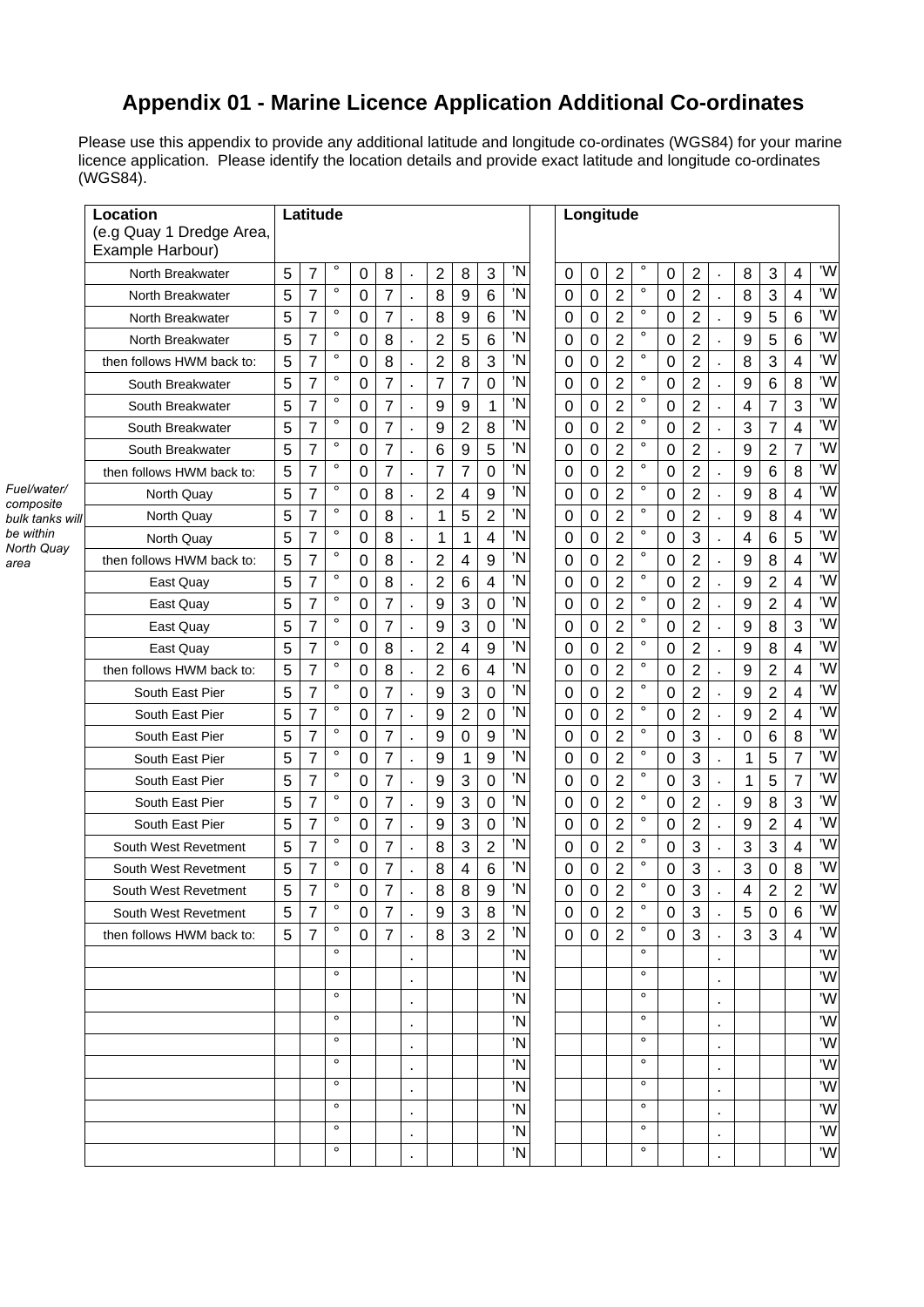## **Appendix 01 - Marine Licence Application Additional Co-ordinates**

Please use this appendix to provide any additional latitude and longitude co-ordinates (WGS84) for your marine licence application. Please identify the location details and provide exact latitude and longitude co-ordinates (WGS84).

|      | Location<br>(e.g Quay 1 Dredge Area,<br>Example Harbour) |   | Latitude       |         |             |                |    |                  |                |                  |    |             | Longitude        |                |         |             |                |                |                |                |                         |    |
|------|----------------------------------------------------------|---|----------------|---------|-------------|----------------|----|------------------|----------------|------------------|----|-------------|------------------|----------------|---------|-------------|----------------|----------------|----------------|----------------|-------------------------|----|
|      | North Breakwater                                         | 5 | 7              | $\circ$ | 0           | 8              |    | $\overline{2}$   | 8              | 3                | 'N | $\pmb{0}$   | $\mathbf 0$      | $\overline{2}$ | $\circ$ | 0           | $\overline{2}$ | $\mathbf{r}$   | 8              | 3              | 4                       | 'W |
|      | North Breakwater                                         | 5 | $\overline{7}$ | $\circ$ | 0           | 7              |    | 8                | 9              | $6\phantom{1}6$  | 'N | $\mathbf 0$ | $\mathbf 0$      | $\overline{2}$ | $\circ$ | 0           | $\overline{2}$ |                | 8              | 3              | $\overline{\mathbf{4}}$ | 'W |
|      | North Breakwater                                         | 5 | 7              | $\circ$ | 0           | 7              |    | 8                | 9              | 6                | 'N | 0           | $\pmb{0}$        | $\overline{2}$ | $\circ$ | 0           | $\overline{2}$ |                | 9              | 5              | 6                       | 'W |
|      | North Breakwater                                         | 5 | $\overline{7}$ | $\circ$ | $\mathbf 0$ | 8              |    | $\overline{2}$   | 5              | $6\phantom{1}6$  | 'N | $\mathbf 0$ | $\mathbf 0$      | $\overline{2}$ | $\circ$ | $\mathbf 0$ | $\overline{2}$ |                | 9              | 5              | 6                       | 'W |
|      | then follows HWM back to:                                | 5 | $\overline{7}$ | $\circ$ | 0           | 8              |    | $\overline{2}$   | 8              | 3                | 'N | 0           | 0                | $\overline{2}$ | $\circ$ | 0           | $\overline{2}$ |                | 8              | 3              | 4                       | 'W |
|      | South Breakwater                                         | 5 | 7              | $\circ$ | 0           | 7              |    | 7                | $\overline{7}$ | $\mathbf 0$      | 'N | $\mathbf 0$ | $\mathbf 0$      | $\overline{2}$ | $\circ$ | $\mathbf 0$ | $\overline{2}$ |                | 9              | 6              | 8                       | 'W |
|      | South Breakwater                                         | 5 | 7              | $\circ$ | $\mathbf 0$ | 7              |    | $\boldsymbol{9}$ | 9              | 1                | 'N | $\mathbf 0$ | $\mathbf 0$      | $\overline{2}$ | $\circ$ | $\mathbf 0$ | $\overline{2}$ |                | $\overline{4}$ | $\overline{7}$ | 3                       | 'W |
|      | South Breakwater                                         | 5 | 7              | $\circ$ | 0           | 7              |    | 9                | $\overline{2}$ | 8                | Ñ  | $\mathbf 0$ | $\boldsymbol{0}$ | $\overline{2}$ | $\circ$ | 0           | $\overline{2}$ | Ŷ.             | 3              | $\overline{7}$ | 4                       | 'W |
|      | South Breakwater                                         | 5 | 7              | $\circ$ | 0           | $\overline{7}$ |    | $6\phantom{1}6$  | 9              | 5                | 'N | 0           | $\mathbf 0$      | $\overline{2}$ | $\circ$ | 0           | $\overline{2}$ |                | 9              | $\overline{2}$ | $\overline{7}$          | 'W |
|      | then follows HWM back to:                                | 5 | $\overline{7}$ | $\circ$ | 0           | $\overline{7}$ |    | 7                | $\overline{7}$ | $\mathbf 0$      | 'N | 0           | $\mathbf 0$      | $\overline{2}$ | $\circ$ | 0           | $\overline{2}$ |                | 9              | 6              | 8                       | 'W |
|      | North Quay                                               | 5 | $\overline{7}$ | $\circ$ | $\mathbf 0$ | 8              |    | $\overline{2}$   | 4              | 9                | 'N | $\mathbf 0$ | 0                | $\overline{2}$ | $\circ$ | $\mathbf 0$ | $\overline{2}$ |                | 9              | 8              | $\overline{\mathbf{4}}$ | 'W |
| vill | North Quay                                               | 5 | 7              | $\circ$ | 0           | 8              |    | 1                | 5              | $\overline{2}$   | 'N | $\mathbf 0$ | $\mathbf 0$      | $\overline{2}$ | $\circ$ | 0           | $\overline{2}$ | k.             | 9              | 8              | $\overline{\mathbf{4}}$ | 'W |
|      | North Quay                                               | 5 | $\overline{7}$ | $\circ$ | 0           | 8              |    | 1                | 1              | 4                | 'N | 0           | $\mathbf 0$      | $\overline{2}$ | $\circ$ | 0           | 3              |                | $\overline{4}$ | 6              | 5                       | 'W |
|      | then follows HWM back to:                                | 5 | 7              | o       | 0           | 8              |    | 2                | 4              | 9                | 'N | 0           | $\mathbf 0$      | $\overline{2}$ | $\circ$ | 0           | $\overline{2}$ |                | 9              | 8              | 4                       | 'W |
|      | East Quay                                                | 5 | $\overline{7}$ | $\circ$ | $\mathbf 0$ | 8              |    | $\overline{2}$   | 6              | $\overline{4}$   | 'N | $\mathbf 0$ | $\mathbf 0$      | $\overline{2}$ | $\circ$ | 0           | $\overline{2}$ |                | 9              | $\overline{2}$ | $\overline{\mathbf{4}}$ | 'W |
|      | East Quay                                                | 5 | 7              | $\circ$ | 0           | 7              |    | 9                | 3              | $\boldsymbol{0}$ | 'N | $\mathbf 0$ | $\boldsymbol{0}$ | $\overline{2}$ | $\circ$ | 0           | $\overline{2}$ | $\mathbf{r}$   | 9              | $\overline{2}$ | 4                       | 'W |
|      | East Quay                                                | 5 | $\overline{7}$ | $\circ$ | 0           | 7              |    | 9                | 3              | $\mathbf 0$      | 'N | $\mathbf 0$ | $\mathbf 0$      | $\overline{2}$ | $\circ$ | 0           | $\overline{2}$ |                | 9              | 8              | 3                       | 'W |
|      | East Quay                                                | 5 | $\overline{7}$ | $\circ$ | 0           | 8              |    | 2                | 4              | 9                | 'N | $\pmb{0}$   | $\mathbf 0$      | $\overline{2}$ | $\circ$ | 0           | $\overline{2}$ |                | 9              | 8              | 4                       | 'W |
|      | then follows HWM back to:                                | 5 | $\overline{7}$ | $\circ$ | 0           | 8              |    | $\overline{2}$   | 6              | 4                | 'N | $\mathbf 0$ | $\boldsymbol{0}$ | $\overline{2}$ | $\circ$ | 0           | $\overline{2}$ |                | 9              | $\overline{2}$ | 4                       | 'W |
|      | South East Pier                                          | 5 | $\overline{7}$ | $\circ$ | 0           | 7              |    | 9                | 3              | $\mathbf 0$      | 'N | $\mathbf 0$ | $\mathbf 0$      | $\overline{2}$ | $\circ$ | $\mathbf 0$ | $\overline{2}$ |                | 9              | $\overline{2}$ | $\overline{\mathbf{4}}$ | 'W |
|      | South East Pier                                          | 5 | $\overline{7}$ | $\circ$ | 0           | 7              |    | 9                | $\overline{2}$ | $\mathbf 0$      | 'N | $\mathbf 0$ | $\mathbf 0$      | $\overline{2}$ | $\circ$ | 0           | $\overline{2}$ |                | 9              | $\overline{2}$ | $\overline{\mathbf{4}}$ | 'W |
|      | South East Pier                                          | 5 | 7              | $\circ$ | 0           | 7              |    | 9                | 0              | 9                | 'N | $\mathbf 0$ | $\boldsymbol{0}$ | $\overline{2}$ | $\circ$ | 0           | 3              | k.             | $\mathbf 0$    | 6              | 8                       | 'W |
|      | South East Pier                                          | 5 | 7              | $\circ$ | $\mathbf 0$ | 7              | ٠  | 9                | 1              | 9                | Ñ  | $\mathbf 0$ | $\mathbf 0$      | $\overline{2}$ | $\circ$ | $\mathbf 0$ | 3              | ×,             | 1              | 5              | $\overline{7}$          | 'W |
|      | South East Pier                                          | 5 | $\overline{7}$ | $\circ$ | 0           | 7              |    | 9                | 3              | $\mathbf 0$      | 'N | 0           | $\mathbf 0$      | $\overline{2}$ | $\circ$ | 0           | 3              | à.             | 1              | 5              | $\overline{7}$          | 'W |
|      | South East Pier                                          | 5 | $\overline{7}$ | $\circ$ | 0           | 7              |    | 9                | 3              | $\mathbf 0$      | 'N | $\mathbf 0$ | $\mathbf 0$      | $\overline{2}$ | $\circ$ | 0           | $\overline{2}$ |                | 9              | 8              | 3                       | 'W |
|      | South East Pier                                          | 5 | $\overline{7}$ | $\circ$ | $\mathbf 0$ | $\overline{7}$ |    | 9                | 3              | $\pmb{0}$        | 'N | $\mathbf 0$ | $\mathbf 0$      | $\overline{2}$ | $\circ$ | $\mathbf 0$ | $\overline{2}$ |                | 9              | $\overline{2}$ | $\overline{\mathbf{4}}$ | 'W |
|      | South West Revetment                                     | 5 | 7              | $\circ$ | 0           | 7              | ä, | 8                | 3              | $\overline{2}$   | Ñ  | $\mathbf 0$ | 0                | $\overline{2}$ | $\circ$ | 0           | 3              | à.             | 3              | 3              | 4                       | 'W |
|      | South West Revetment                                     | 5 | 7              | $\circ$ | 0           | 7              |    | 8                | 4              | 6                | 'N | $\mathbf 0$ | 0                | $\overline{2}$ | $\circ$ | 0           | 3              |                | 3              | $\mathbf 0$    | 8                       | 'W |
|      | South West Revetment                                     | 5 | 7              | $\circ$ | $\Omega$    | $\overline{7}$ |    | 8                | 8              | 9                | 'N | 0           | 0                | $\overline{2}$ | $\circ$ | 0           | 3              |                | 4              | $\overline{2}$ | $\overline{2}$          | 'W |
|      | South West Revetment                                     | 5 | $\overline{7}$ | $\circ$ | 0           | 7              |    | 9                | 3              | 8                | 'N | 0           | 0                | $\overline{2}$ | $\circ$ | 0           | 3              |                | 5              | 0              | 6                       | 'W |
|      | then follows HWM back to:                                | 5 | $\overline{7}$ | $\circ$ | $\Omega$    | $\overline{7}$ |    | 8                | 3              | $\overline{2}$   | 'N | 0           | $\mathbf 0$      | $\overline{2}$ | $\circ$ | 0           | 3              |                | 3              | 3              | $\overline{4}$          | 'W |
|      |                                                          |   |                | $\circ$ |             |                |    |                  |                |                  | 'N |             |                  |                | $\circ$ |             |                | $\blacksquare$ |                |                |                         | 'W |
|      |                                                          |   |                | $\circ$ |             |                |    |                  |                |                  | 'N |             |                  |                | $\circ$ |             |                |                |                |                |                         | 'W |
|      |                                                          |   |                | $\circ$ |             |                |    |                  |                |                  | 'N |             |                  |                | $\circ$ |             |                |                |                |                |                         | 'W |
|      |                                                          |   |                | $\circ$ |             |                | ٠  |                  |                |                  | 'N |             |                  |                | $\circ$ |             |                | $\mathbf{r}$   |                |                |                         | 'W |
|      |                                                          |   |                | $\circ$ |             |                |    |                  |                |                  | 'N |             |                  |                | $\circ$ |             |                |                |                |                |                         | 'W |
|      |                                                          |   |                | $\circ$ |             |                |    |                  |                |                  | 'N |             |                  |                | $\circ$ |             |                |                |                |                |                         | 'W |
|      |                                                          |   |                | $\circ$ |             |                |    |                  |                |                  | 'N |             |                  |                | $\circ$ |             |                |                |                |                |                         | 'W |
|      |                                                          |   |                | $\circ$ |             |                | ٠  |                  |                |                  | 'N |             |                  |                | $\circ$ |             |                | $\bullet$      |                |                |                         | 'W |
|      |                                                          |   |                | $\circ$ |             |                |    |                  |                |                  | 'N |             |                  |                | $\circ$ |             |                | $\blacksquare$ |                |                |                         | 'W |
|      |                                                          |   |                | $\circ$ |             |                |    |                  |                |                  | 'N |             |                  |                | $\circ$ |             |                |                |                |                |                         | 'W |

*Fuel/water/ composite bulk tanks*  $\nu$ *be within North Quay area*